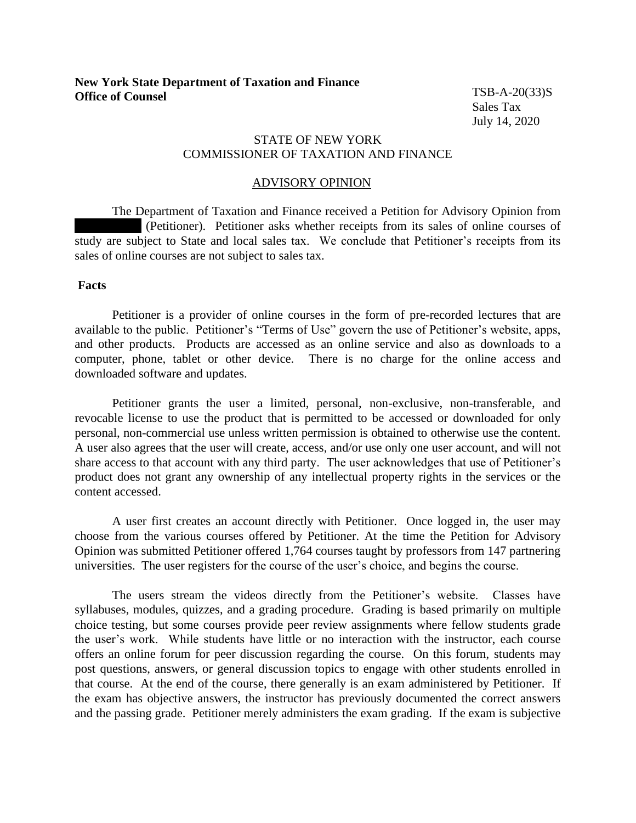TSB-A-20(33)S Sales Tax July 14, 2020

## STATE OF NEW YORK COMMISSIONER OF TAXATION AND FINANCE

## ADVISORY OPINION

The Department of Taxation and Finance received a Petition for Advisory Opinion from (Petitioner). Petitioner asks whether receipts from its sales of online courses of study are subject to State and local sales tax. We conclude that Petitioner's receipts from its sales of online courses are not subject to sales tax.

## **Facts**

Petitioner is a provider of online courses in the form of pre-recorded lectures that are available to the public. Petitioner's "Terms of Use" govern the use of Petitioner's website, apps, and other products. Products are accessed as an online service and also as downloads to a computer, phone, tablet or other device. There is no charge for the online access and downloaded software and updates.

Petitioner grants the user a limited, personal, non-exclusive, non-transferable, and revocable license to use the product that is permitted to be accessed or downloaded for only personal, non-commercial use unless written permission is obtained to otherwise use the content. A user also agrees that the user will create, access, and/or use only one user account, and will not share access to that account with any third party. The user acknowledges that use of Petitioner's product does not grant any ownership of any intellectual property rights in the services or the content accessed.

A user first creates an account directly with Petitioner. Once logged in, the user may choose from the various courses offered by Petitioner. At the time the Petition for Advisory Opinion was submitted Petitioner offered 1,764 courses taught by professors from 147 partnering universities. The user registers for the course of the user's choice, and begins the course.

The users stream the videos directly from the Petitioner's website. Classes have syllabuses, modules, quizzes, and a grading procedure. Grading is based primarily on multiple choice testing, but some courses provide peer review assignments where fellow students grade the user's work. While students have little or no interaction with the instructor, each course offers an online forum for peer discussion regarding the course. On this forum, students may post questions, answers, or general discussion topics to engage with other students enrolled in that course. At the end of the course, there generally is an exam administered by Petitioner. If the exam has objective answers, the instructor has previously documented the correct answers and the passing grade. Petitioner merely administers the exam grading. If the exam is subjective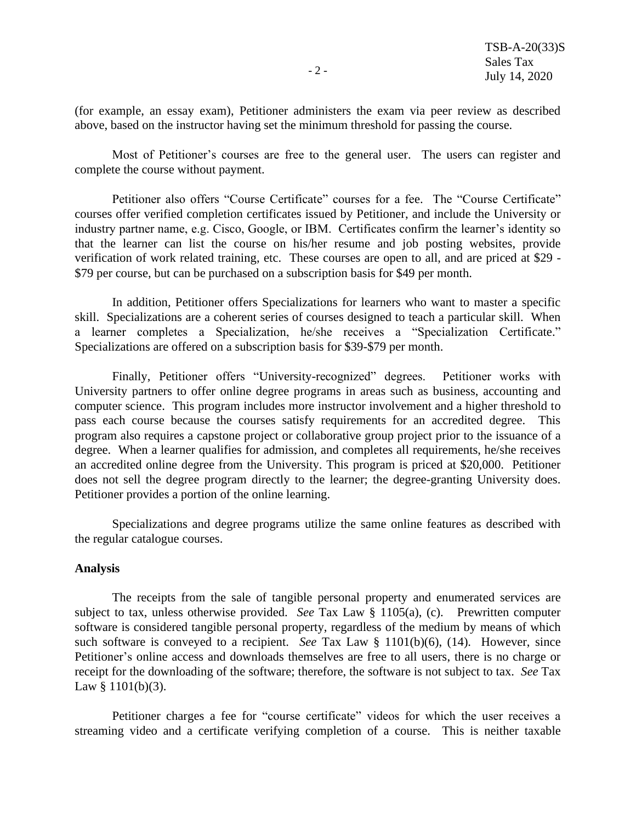(for example, an essay exam), Petitioner administers the exam via peer review as described above, based on the instructor having set the minimum threshold for passing the course.

Most of Petitioner's courses are free to the general user. The users can register and complete the course without payment.

Petitioner also offers "Course Certificate" courses for a fee. The "Course Certificate" courses offer verified completion certificates issued by Petitioner, and include the University or industry partner name, e.g. Cisco, Google, or IBM. Certificates confirm the learner's identity so that the learner can list the course on his/her resume and job posting websites, provide verification of work related training, etc. These courses are open to all, and are priced at \$29 - \$79 per course, but can be purchased on a subscription basis for \$49 per month.

In addition, Petitioner offers Specializations for learners who want to master a specific skill. Specializations are a coherent series of courses designed to teach a particular skill. When a learner completes a Specialization, he/she receives a "Specialization Certificate." Specializations are offered on a subscription basis for \$39-\$79 per month.

Finally, Petitioner offers "University-recognized" degrees. Petitioner works with University partners to offer online degree programs in areas such as business, accounting and computer science. This program includes more instructor involvement and a higher threshold to pass each course because the courses satisfy requirements for an accredited degree. This program also requires a capstone project or collaborative group project prior to the issuance of a degree. When a learner qualifies for admission, and completes all requirements, he/she receives an accredited online degree from the University. This program is priced at \$20,000. Petitioner does not sell the degree program directly to the learner; the degree-granting University does. Petitioner provides a portion of the online learning.

Specializations and degree programs utilize the same online features as described with the regular catalogue courses.

## **Analysis**

The receipts from the sale of tangible personal property and enumerated services are subject to tax, unless otherwise provided. *See* Tax Law § 1105(a), (c). Prewritten computer software is considered tangible personal property, regardless of the medium by means of which such software is conveyed to a recipient. *See* Tax Law § 1101(b)(6), (14). However, since Petitioner's online access and downloads themselves are free to all users, there is no charge or receipt for the downloading of the software; therefore, the software is not subject to tax. *See* Tax Law § 1101(b)(3).

Petitioner charges a fee for "course certificate" videos for which the user receives a streaming video and a certificate verifying completion of a course. This is neither taxable